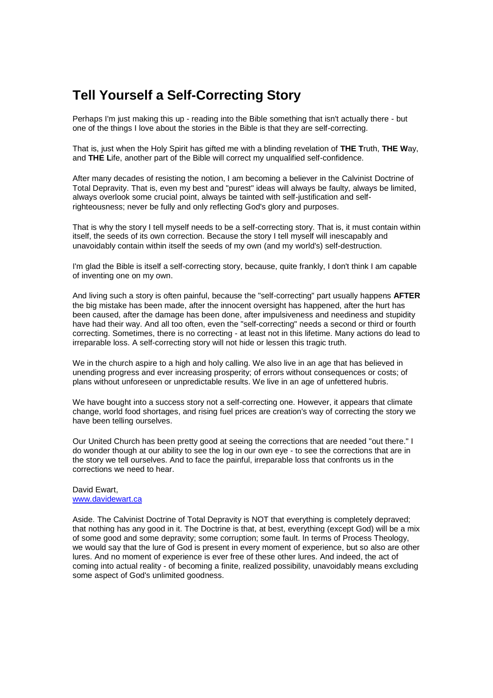## **Tell Yourself a Self-Correcting Story**

Perhaps I'm just making this up - reading into the Bible something that isn't actually there - but one of the things I love about the stories in the Bible is that they are self-correcting.

That is, just when the Holy Spirit has gifted me with a blinding revelation of **THE T**ruth, **THE W**ay, and **THE L**ife, another part of the Bible will correct my unqualified self-confidence.

After many decades of resisting the notion, I am becoming a believer in the Calvinist Doctrine of Total Depravity. That is, even my best and "purest" ideas will always be faulty, always be limited, always overlook some crucial point, always be tainted with self-justification and selfrighteousness; never be fully and only reflecting God's glory and purposes.

That is why the story I tell myself needs to be a self-correcting story. That is, it must contain within itself, the seeds of its own correction. Because the story I tell myself will inescapably and unavoidably contain within itself the seeds of my own (and my world's) self-destruction.

I'm glad the Bible is itself a self-correcting story, because, quite frankly, I don't think I am capable of inventing one on my own.

And living such a story is often painful, because the "self-correcting" part usually happens **AFTER** the big mistake has been made, after the innocent oversight has happened, after the hurt has been caused, after the damage has been done, after impulsiveness and neediness and stupidity have had their way. And all too often, even the "self-correcting" needs a second or third or fourth correcting. Sometimes, there is no correcting - at least not in this lifetime. Many actions do lead to irreparable loss. A self-correcting story will not hide or lessen this tragic truth.

We in the church aspire to a high and holy calling. We also live in an age that has believed in unending progress and ever increasing prosperity; of errors without consequences or costs; of plans without unforeseen or unpredictable results. We live in an age of unfettered hubris.

We have bought into a success story not a self-correcting one. However, it appears that climate change, world food shortages, and rising fuel prices are creation's way of correcting the story we have been telling ourselves.

Our United Church has been pretty good at seeing the corrections that are needed "out there." I do wonder though at our ability to see the log in our own eye - to see the corrections that are in the story we tell ourselves. And to face the painful, irreparable loss that confronts us in the corrections we need to hear.

## David Ewart, www.davidewart.ca

Aside. The Calvinist Doctrine of Total Depravity is NOT that everything is completely depraved; that nothing has any good in it. The Doctrine is that, at best, everything (except God) will be a mix of some good and some depravity; some corruption; some fault. In terms of Process Theology, we would say that the lure of God is present in every moment of experience, but so also are other lures. And no moment of experience is ever free of these other lures. And indeed, the act of coming into actual reality - of becoming a finite, realized possibility, unavoidably means excluding some aspect of God's unlimited goodness.